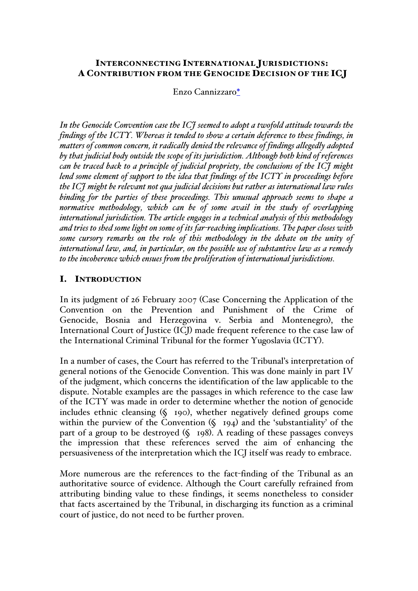# INTERCONNECTING INTERNATIONAL JURISDICTIONS: A CONTRIBUTION FROM THE GENOCIDE DECISION OF THE ICJ

# Enzo Cannizzaro\*

*In the Genocide Convention case the ICJ seemed to adopt a twofold attitude towards the findings of the ICTY. Whereas it tended to show a certain deference to these findings, in matters of common concern, it radically denied the relevance of findings allegedly adopted by that judicial body outside the scope of its jurisdiction. Although both kind of references can be traced back to a principle of judicial propriety, the conclusions of the ICJ might lend some element of support to the idea that findings of the ICTY in proceedings before the ICJ might be relevant not qua judicial decisions but rather as international law rules binding for the parties of these proceedings. This unusual approach seems to shape a normative methodology, which can be of some avail in the study of overlapping international jurisdiction. The article engages in a technical analysis of this methodology and tries to shed some light on some of its far-reaching implications. The paper closes with some cursory remarks on the role of this methodology in the debate on the unity of international law, and, in particular, on the possible use of substantive law as a remedy to the incoherence which ensues from the proliferation of international jurisdictions.*

# I. INTRODUCTION

In its judgment of 26 February 2007 (Case Concerning the Application of the Convention on the Prevention and Punishment of the Crime of Genocide, Bosnia and Herzegovina v. Serbia and Montenegro), the International Court of Justice (ICJ) made frequent reference to the case law of the International Criminal Tribunal for the former Yugoslavia (ICTY).

In a number of cases, the Court has referred to the Tribunal's interpretation of general notions of the Genocide Convention. This was done mainly in part IV of the judgment, which concerns the identification of the law applicable to the dispute. Notable examples are the passages in which reference to the case law of the ICTY was made in order to determine whether the notion of genocide includes ethnic cleansing (§ 190), whether negatively defined groups come within the purview of the Convention (§ 194) and the 'substantiality' of the part of a group to be destroyed (§ 198). A reading of these passages conveys the impression that these references served the aim of enhancing the persuasiveness of the interpretation which the ICJ itself was ready to embrace.

More numerous are the references to the fact-finding of the Tribunal as an authoritative source of evidence. Although the Court carefully refrained from attributing binding value to these findings, it seems nonetheless to consider that facts ascertained by the Tribunal, in discharging its function as a criminal court of justice, do not need to be further proven.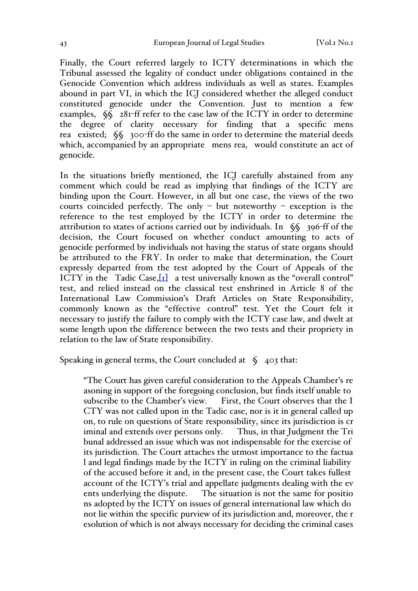Finally, the Court referred largely to ICTY determinations in which the Tribunal assessed the legality of conduct under obligations contained in the Genocide Convention which address individuals as well as states. Examples abound in part VI, in which the ICJ considered whether the alleged conduct constituted genocide under the Convention. Just to mention a few examples,  $\sqrt{\S}$  281-ff refer to the case law of the ICTY in order to determine the degree of clarity necessary for finding that a specific mens rea existed; §§ 300-ff do the same in order to determine the material deeds which, accompanied by an appropriate mens rea, would constitute an act of genocide.

In the situations briefly mentioned, the ICJ carefully abstained from any comment which could be read as implying that findings of the ICTY are binding upon the Court. However, in all but one case, the views of the two courts coincided perfectly. The only – but noteworthy – exception is the reference to the test employed by the ICTY in order to determine the attribution to states of actions carried out by individuals. In §§ 396-ff of the decision, the Court focused on whether conduct amounting to acts of genocide performed by individuals not having the status of state organs should be attributed to the FRY. In order to make that determination, the Court expressly departed from the test adopted by the Court of Appeals of the ICTY in the Tadic Case, [1] a test universally known as the "overall control" test, and relied instead on the classical test enshrined in Article 8 of the International Law Commission's Draft Articles on State Responsibility, commonly known as the "effective control" test. Yet the Court felt it necessary to justify the failure to comply with the ICTY case law, and dwelt at some length upon the difference between the two tests and their propriety in relation to the law of State responsibility.

Speaking in general terms, the Court concluded at  $\zeta$  403 that:

"The Court has given careful consideration to the Appeals Chamber's re asoning in support of the foregoing conclusion, but finds itself unable to subscribe to the Chamber's view. First, the Court observes that the I CTY was not called upon in the Tadic case, nor is it in general called up on, to rule on questions of State responsibility, since its jurisdiction is cr iminal and extends over persons only. Thus, in that Judgment the Tri bunal addressed an issue which was not indispensable for the exercise of its jurisdiction. The Court attaches the utmost importance to the factua l and legal findings made by the ICTY in ruling on the criminal liability of the accused before it and, in the present case, the Court takes fullest account of the ICTY's trial and appellate judgments dealing with the ev ents underlying the dispute. The situation is not the same for positio ns adopted by the ICTY on issues of general international law which do not lie within the specific purview of its jurisdiction and, moreover, the r esolution of which is not always necessary for deciding the criminal cases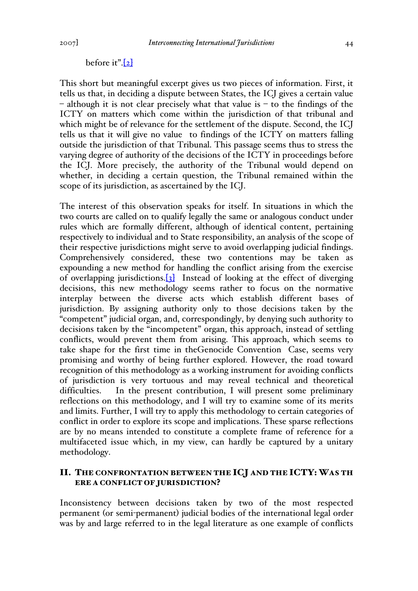### before it". $[2]$

This short but meaningful excerpt gives us two pieces of information. First, it tells us that, in deciding a dispute between States, the ICJ gives a certain value  $-$  although it is not clear precisely what that value is  $-$  to the findings of the ICTY on matters which come within the jurisdiction of that tribunal and which might be of relevance for the settlement of the dispute. Second, the ICJ tells us that it will give no value to findings of the ICTY on matters falling outside the jurisdiction of that Tribunal. This passage seems thus to stress the varying degree of authority of the decisions of the ICTY in proceedings before the ICJ. More precisely, the authority of the Tribunal would depend on whether, in deciding a certain question, the Tribunal remained within the scope of its jurisdiction, as ascertained by the ICJ.

The interest of this observation speaks for itself. In situations in which the two courts are called on to qualify legally the same or analogous conduct under rules which are formally different, although of identical content, pertaining respectively to individual and to State responsibility, an analysis of the scope of their respective jurisdictions might serve to avoid overlapping judicial findings. Comprehensively considered, these two contentions may be taken as expounding a new method for handling the conflict arising from the exercise of overlapping jurisdictions.  $[3]$  Instead of looking at the effect of diverging decisions, this new methodology seems rather to focus on the normative interplay between the diverse acts which establish different bases of jurisdiction. By assigning authority only to those decisions taken by the "competent" judicial organ, and, correspondingly, by denying such authority to decisions taken by the "incompetent" organ, this approach, instead of settling conflicts, would prevent them from arising. This approach, which seems to take shape for the first time in theGenocide Convention Case, seems very promising and worthy of being further explored. However, the road toward recognition of this methodology as a working instrument for avoiding conflicts of jurisdiction is very tortuous and may reveal technical and theoretical difficulties. In the present contribution, I will present some preliminary reflections on this methodology, and I will try to examine some of its merits and limits. Further, I will try to apply this methodology to certain categories of conflict in order to explore its scope and implications. These sparse reflections are by no means intended to constitute a complete frame of reference for a multifaceted issue which, in my view, can hardly be captured by a unitary methodology.

## II. THE CONFRONTATION BETWEEN THE ICJ AND THE ICTY: WAS TH ERE A CONFLICT OF JURISDICTION?

Inconsistency between decisions taken by two of the most respected permanent (or semi-permanent) judicial bodies of the international legal order was by and large referred to in the legal literature as one example of conflicts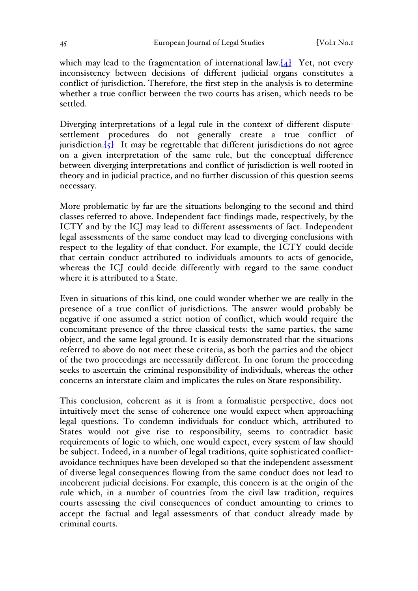which may lead to the fragmentation of international law. $[4]$  Yet, not every inconsistency between decisions of different judicial organs constitutes a conflict of jurisdiction. Therefore, the first step in the analysis is to determine whether a true conflict between the two courts has arisen, which needs to be settled.

Diverging interpretations of a legal rule in the context of different disputesettlement procedures do not generally create a true conflict of jurisdiction. $[5]$  It may be regrettable that different jurisdictions do not agree on a given interpretation of the same rule, but the conceptual difference between diverging interpretations and conflict of jurisdiction is well rooted in theory and in judicial practice, and no further discussion of this question seems necessary.

More problematic by far are the situations belonging to the second and third classes referred to above. Independent fact-findings made, respectively, by the ICTY and by the ICJ may lead to different assessments of fact. Independent legal assessments of the same conduct may lead to diverging conclusions with respect to the legality of that conduct. For example, the ICTY could decide that certain conduct attributed to individuals amounts to acts of genocide, whereas the ICJ could decide differently with regard to the same conduct where it is attributed to a State.

Even in situations of this kind, one could wonder whether we are really in the presence of a true conflict of jurisdictions. The answer would probably be negative if one assumed a strict notion of conflict, which would require the concomitant presence of the three classical tests: the same parties, the same object, and the same legal ground. It is easily demonstrated that the situations referred to above do not meet these criteria, as both the parties and the object of the two proceedings are necessarily different. In one forum the proceeding seeks to ascertain the criminal responsibility of individuals, whereas the other concerns an interstate claim and implicates the rules on State responsibility.

This conclusion, coherent as it is from a formalistic perspective, does not intuitively meet the sense of coherence one would expect when approaching legal questions. To condemn individuals for conduct which, attributed to States would not give rise to responsibility, seems to contradict basic requirements of logic to which, one would expect, every system of law should be subject. Indeed, in a number of legal traditions, quite sophisticated conflictavoidance techniques have been developed so that the independent assessment of diverse legal consequences flowing from the same conduct does not lead to incoherent judicial decisions. For example, this concern is at the origin of the rule which, in a number of countries from the civil law tradition, requires courts assessing the civil consequences of conduct amounting to crimes to accept the factual and legal assessments of that conduct already made by criminal courts.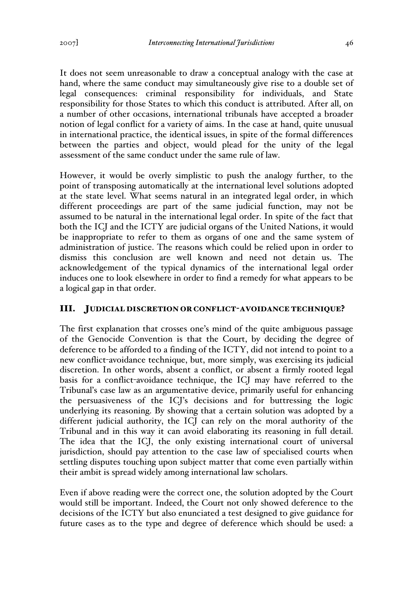It does not seem unreasonable to draw a conceptual analogy with the case at hand, where the same conduct may simultaneously give rise to a double set of legal consequences: criminal responsibility for individuals, and State responsibility for those States to which this conduct is attributed. After all, on a number of other occasions, international tribunals have accepted a broader notion of legal conflict for a variety of aims. In the case at hand, quite unusual in international practice, the identical issues, in spite of the formal differences between the parties and object, would plead for the unity of the legal assessment of the same conduct under the same rule of law.

However, it would be overly simplistic to push the analogy further, to the point of transposing automatically at the international level solutions adopted at the state level. What seems natural in an integrated legal order, in which different proceedings are part of the same judicial function, may not be assumed to be natural in the international legal order. In spite of the fact that both the ICJ and the ICTY are judicial organs of the United Nations, it would be inappropriate to refer to them as organs of one and the same system of administration of justice. The reasons which could be relied upon in order to dismiss this conclusion are well known and need not detain us. The acknowledgement of the typical dynamics of the international legal order induces one to look elsewhere in order to find a remedy for what appears to be a logical gap in that order.

### III. JUDICIAL DISCRETION OR CONFLICT-AVOIDANCE TECHNIQUE?

The first explanation that crosses one's mind of the quite ambiguous passage of the Genocide Convention is that the Court, by deciding the degree of deference to be afforded to a finding of the ICTY, did not intend to point to a new conflict-avoidance technique, but, more simply, was exercising its judicial discretion. In other words, absent a conflict, or absent a firmly rooted legal basis for a conflict-avoidance technique, the ICJ may have referred to the Tribunal's case law as an argumentative device, primarily useful for enhancing the persuasiveness of the ICJ's decisions and for buttressing the logic underlying its reasoning. By showing that a certain solution was adopted by a different judicial authority, the ICJ can rely on the moral authority of the Tribunal and in this way it can avoid elaborating its reasoning in full detail. The idea that the ICJ, the only existing international court of universal jurisdiction, should pay attention to the case law of specialised courts when settling disputes touching upon subject matter that come even partially within their ambit is spread widely among international law scholars.

Even if above reading were the correct one, the solution adopted by the Court would still be important. Indeed, the Court not only showed deference to the decisions of the ICTY but also enunciated a test designed to give guidance for future cases as to the type and degree of deference which should be used: a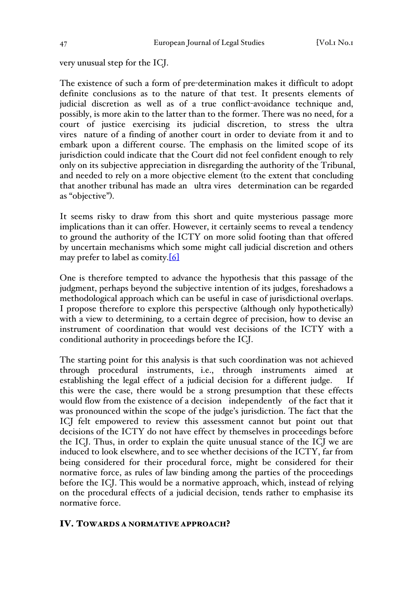very unusual step for the ICJ.

The existence of such a form of pre-determination makes it difficult to adopt definite conclusions as to the nature of that test. It presents elements of judicial discretion as well as of a true conflict-avoidance technique and, possibly, is more akin to the latter than to the former. There was no need, for a court of justice exercising its judicial discretion, to stress the ultra vires nature of a finding of another court in order to deviate from it and to embark upon a different course. The emphasis on the limited scope of its jurisdiction could indicate that the Court did not feel confident enough to rely only on its subjective appreciation in disregarding the authority of the Tribunal, and needed to rely on a more objective element (to the extent that concluding that another tribunal has made an ultra vires determination can be regarded as "objective").

It seems risky to draw from this short and quite mysterious passage more implications than it can offer. However, it certainly seems to reveal a tendency to ground the authority of the ICTY on more solid footing than that offered by uncertain mechanisms which some might call judicial discretion and others may prefer to label as comity.[6]

One is therefore tempted to advance the hypothesis that this passage of the judgment, perhaps beyond the subjective intention of its judges, foreshadows a methodological approach which can be useful in case of jurisdictional overlaps. I propose therefore to explore this perspective (although only hypothetically) with a view to determining, to a certain degree of precision, how to devise an instrument of coordination that would vest decisions of the ICTY with a conditional authority in proceedings before the ICJ.

The starting point for this analysis is that such coordination was not achieved through procedural instruments, i.e., through instruments aimed at establishing the legal effect of a judicial decision for a different judge. If this were the case, there would be a strong presumption that these effects would flow from the existence of a decision independently of the fact that it was pronounced within the scope of the judge's jurisdiction. The fact that the ICJ felt empowered to review this assessment cannot but point out that decisions of the ICTY do not have effect by themselves in proceedings before the ICJ. Thus, in order to explain the quite unusual stance of the ICJ we are induced to look elsewhere, and to see whether decisions of the ICTY, far from being considered for their procedural force, might be considered for their normative force, as rules of law binding among the parties of the proceedings before the ICJ. This would be a normative approach, which, instead of relying on the procedural effects of a judicial decision, tends rather to emphasise its normative force.

### IV. TOWARDS A NORMATIVE APPROACH?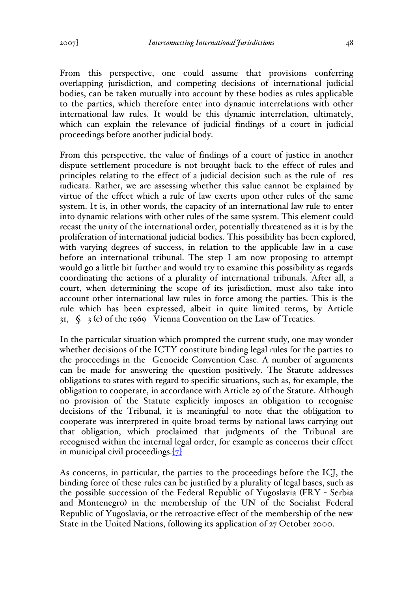From this perspective, one could assume that provisions conferring overlapping jurisdiction, and competing decisions of international judicial bodies, can be taken mutually into account by these bodies as rules applicable to the parties, which therefore enter into dynamic interrelations with other international law rules. It would be this dynamic interrelation, ultimately, which can explain the relevance of judicial findings of a court in judicial proceedings before another judicial body.

From this perspective, the value of findings of a court of justice in another dispute settlement procedure is not brought back to the effect of rules and principles relating to the effect of a judicial decision such as the rule of res iudicata. Rather, we are assessing whether this value cannot be explained by virtue of the effect which a rule of law exerts upon other rules of the same system. It is, in other words, the capacity of an international law rule to enter into dynamic relations with other rules of the same system. This element could recast the unity of the international order, potentially threatened as it is by the proliferation of international judicial bodies. This possibility has been explored, with varying degrees of success, in relation to the applicable law in a case before an international tribunal. The step I am now proposing to attempt would go a little bit further and would try to examine this possibility as regards coordinating the actions of a plurality of international tribunals. After all, a court, when determining the scope of its jurisdiction, must also take into account other international law rules in force among the parties. This is the rule which has been expressed, albeit in quite limited terms, by Article 31,  $\zeta$  3 (c) of the 1969 Vienna Convention on the Law of Treaties.

In the particular situation which prompted the current study, one may wonder whether decisions of the ICTY constitute binding legal rules for the parties to the proceedings in the Genocide Convention Case. A number of arguments can be made for answering the question positively. The Statute addresses obligations to states with regard to specific situations, such as, for example, the obligation to cooperate, in accordance with Article 29 of the Statute. Although no provision of the Statute explicitly imposes an obligation to recognise decisions of the Tribunal, it is meaningful to note that the obligation to cooperate was interpreted in quite broad terms by national laws carrying out that obligation, which proclaimed that judgments of the Tribunal are recognised within the internal legal order, for example as concerns their effect in municipal civil proceedings. $[7]$ 

As concerns, in particular, the parties to the proceedings before the ICJ, the binding force of these rules can be justified by a plurality of legal bases, such as the possible succession of the Federal Republic of Yugoslavia (FRY - Serbia and Montenegro) in the membership of the UN of the Socialist Federal Republic of Yugoslavia, or the retroactive effect of the membership of the new State in the United Nations, following its application of 27 October 2000.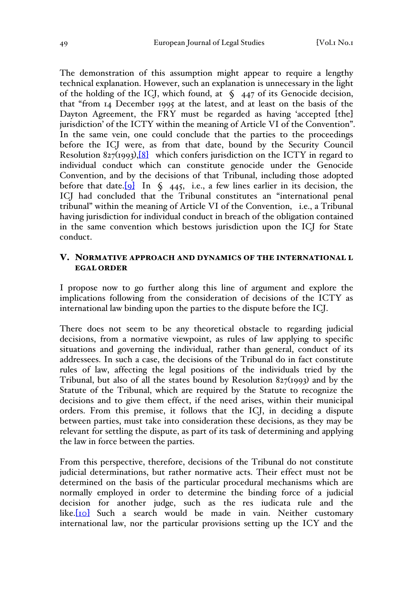The demonstration of this assumption might appear to require a lengthy technical explanation. However, such an explanation is unnecessary in the light of the holding of the ICJ, which found, at  $\oint$  447 of its Genocide decision, that "from 14 December 1995 at the latest, and at least on the basis of the Dayton Agreement, the FRY must be regarded as having 'accepted [the] jurisdiction' of the ICTY within the meaning of Article VI of the Convention". In the same vein, one could conclude that the parties to the proceedings before the ICJ were, as from that date, bound by the Security Council Resolution  $827(1993)$ ,  $8$  which confers jurisdiction on the ICTY in regard to individual conduct which can constitute genocide under the Genocide Convention, and by the decisions of that Tribunal, including those adopted before that date.<sup>[9]</sup> In  $\zeta$  445, i.e., a few lines earlier in its decision, the ICJ had concluded that the Tribunal constitutes an "international penal tribunal" within the meaning of Article VI of the Convention, i.e., a Tribunal having jurisdiction for individual conduct in breach of the obligation contained in the same convention which bestows jurisdiction upon the ICJ for State conduct.

## V. NORMATIVE APPROACH AND DYNAMICS OF THE INTERNATIONAL L EGAL ORDER

I propose now to go further along this line of argument and explore the implications following from the consideration of decisions of the ICTY as international law binding upon the parties to the dispute before the ICJ.

There does not seem to be any theoretical obstacle to regarding judicial decisions, from a normative viewpoint, as rules of law applying to specific situations and governing the individual, rather than general, conduct of its addressees. In such a case, the decisions of the Tribunal do in fact constitute rules of law, affecting the legal positions of the individuals tried by the Tribunal, but also of all the states bound by Resolution 827(1993) and by the Statute of the Tribunal, which are required by the Statute to recognize the decisions and to give them effect, if the need arises, within their municipal orders. From this premise, it follows that the ICJ, in deciding a dispute between parties, must take into consideration these decisions, as they may be relevant for settling the dispute, as part of its task of determining and applying the law in force between the parties.

From this perspective, therefore, decisions of the Tribunal do not constitute judicial determinations, but rather normative acts. Their effect must not be determined on the basis of the particular procedural mechanisms which are normally employed in order to determine the binding force of a judicial decision for another judge, such as the res iudicata rule and the like.<sup>[10]</sup> Such a search would be made in vain. Neither customary international law, nor the particular provisions setting up the ICY and the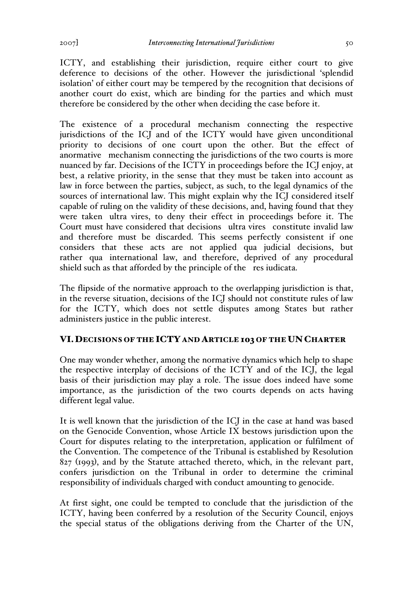ICTY, and establishing their jurisdiction, require either court to give deference to decisions of the other. However the jurisdictional 'splendid isolation' of either court may be tempered by the recognition that decisions of another court do exist, which are binding for the parties and which must therefore be considered by the other when deciding the case before it.

The existence of a procedural mechanism connecting the respective jurisdictions of the ICJ and of the ICTY would have given unconditional priority to decisions of one court upon the other. But the effect of anormative mechanism connecting the jurisdictions of the two courts is more nuanced by far. Decisions of the ICTY in proceedings before the ICJ enjoy, at best, a relative priority, in the sense that they must be taken into account as law in force between the parties, subject, as such, to the legal dynamics of the sources of international law. This might explain why the ICJ considered itself capable of ruling on the validity of these decisions, and, having found that they were taken ultra vires, to deny their effect in proceedings before it. The Court must have considered that decisions ultra vires constitute invalid law and therefore must be discarded. This seems perfectly consistent if one considers that these acts are not applied qua judicial decisions, but rather qua international law, and therefore, deprived of any procedural shield such as that afforded by the principle of the res iudicata.

The flipside of the normative approach to the overlapping jurisdiction is that, in the reverse situation, decisions of the ICJ should not constitute rules of law for the ICTY, which does not settle disputes among States but rather administers justice in the public interest.

# VI.DECISIONS OF THE ICTY AND ARTICLE 103 OF THE UN CHARTER

One may wonder whether, among the normative dynamics which help to shape the respective interplay of decisions of the ICTY and of the ICJ, the legal basis of their jurisdiction may play a role. The issue does indeed have some importance, as the jurisdiction of the two courts depends on acts having different legal value.

It is well known that the jurisdiction of the ICJ in the case at hand was based on the Genocide Convention, whose Article IX bestows jurisdiction upon the Court for disputes relating to the interpretation, application or fulfilment of the Convention. The competence of the Tribunal is established by Resolution 827 (1993), and by the Statute attached thereto, which, in the relevant part, confers jurisdiction on the Tribunal in order to determine the criminal responsibility of individuals charged with conduct amounting to genocide.

At first sight, one could be tempted to conclude that the jurisdiction of the ICTY, having been conferred by a resolution of the Security Council, enjoys the special status of the obligations deriving from the Charter of the UN,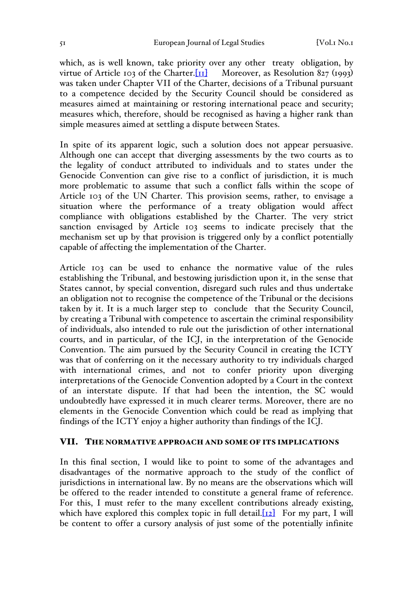which, as is well known, take priority over any other treaty obligation, by virtue of Article 103 of the Charter.  $\overline{[11]}$  Moreover, as Resolution 827 (1993) was taken under Chapter VII of the Charter, decisions of a Tribunal pursuant to a competence decided by the Security Council should be considered as measures aimed at maintaining or restoring international peace and security; measures which, therefore, should be recognised as having a higher rank than simple measures aimed at settling a dispute between States.

In spite of its apparent logic, such a solution does not appear persuasive. Although one can accept that diverging assessments by the two courts as to the legality of conduct attributed to individuals and to states under the Genocide Convention can give rise to a conflict of jurisdiction, it is much more problematic to assume that such a conflict falls within the scope of Article 103 of the UN Charter. This provision seems, rather, to envisage a situation where the performance of a treaty obligation would affect compliance with obligations established by the Charter. The very strict sanction envisaged by Article 103 seems to indicate precisely that the mechanism set up by that provision is triggered only by a conflict potentially capable of affecting the implementation of the Charter.

Article 103 can be used to enhance the normative value of the rules establishing the Tribunal, and bestowing jurisdiction upon it, in the sense that States cannot, by special convention, disregard such rules and thus undertake an obligation not to recognise the competence of the Tribunal or the decisions taken by it. It is a much larger step to conclude that the Security Council, by creating a Tribunal with competence to ascertain the criminal responsibility of individuals, also intended to rule out the jurisdiction of other international courts, and in particular, of the ICJ, in the interpretation of the Genocide Convention. The aim pursued by the Security Council in creating the ICTY was that of conferring on it the necessary authority to try individuals charged with international crimes, and not to confer priority upon diverging interpretations of the Genocide Convention adopted by a Court in the context of an interstate dispute. If that had been the intention, the SC would undoubtedly have expressed it in much clearer terms. Moreover, there are no elements in the Genocide Convention which could be read as implying that findings of the ICTY enjoy a higher authority than findings of the ICJ.

## VII. THE NORMATIVE APPROACH AND SOME OF ITS IMPLICATIONS

In this final section, I would like to point to some of the advantages and disadvantages of the normative approach to the study of the conflict of jurisdictions in international law. By no means are the observations which will be offered to the reader intended to constitute a general frame of reference. For this, I must refer to the many excellent contributions already existing, which have explored this complex topic in full detail. $[12]$  For my part, I will be content to offer a cursory analysis of just some of the potentially infinite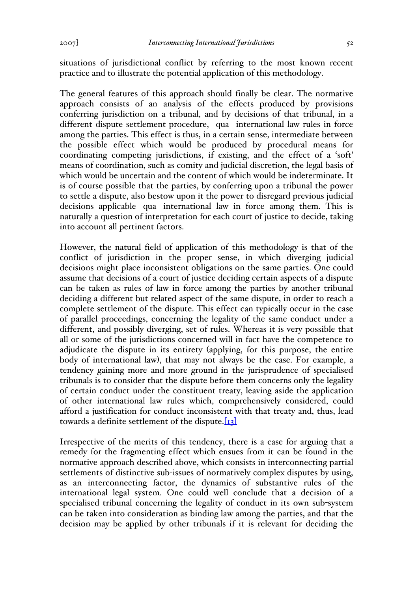situations of jurisdictional conflict by referring to the most known recent practice and to illustrate the potential application of this methodology.

The general features of this approach should finally be clear. The normative approach consists of an analysis of the effects produced by provisions conferring jurisdiction on a tribunal, and by decisions of that tribunal, in a different dispute settlement procedure, qua international law rules in force among the parties. This effect is thus, in a certain sense, intermediate between the possible effect which would be produced by procedural means for coordinating competing jurisdictions, if existing, and the effect of a 'soft' means of coordination, such as comity and judicial discretion, the legal basis of which would be uncertain and the content of which would be indeterminate. It is of course possible that the parties, by conferring upon a tribunal the power to settle a dispute, also bestow upon it the power to disregard previous judicial decisions applicable qua international law in force among them. This is naturally a question of interpretation for each court of justice to decide, taking into account all pertinent factors.

However, the natural field of application of this methodology is that of the conflict of jurisdiction in the proper sense, in which diverging judicial decisions might place inconsistent obligations on the same parties. One could assume that decisions of a court of justice deciding certain aspects of a dispute can be taken as rules of law in force among the parties by another tribunal deciding a different but related aspect of the same dispute, in order to reach a complete settlement of the dispute. This effect can typically occur in the case of parallel proceedings, concerning the legality of the same conduct under a different, and possibly diverging, set of rules. Whereas it is very possible that all or some of the jurisdictions concerned will in fact have the competence to adjudicate the dispute in its entirety (applying, for this purpose, the entire body of international law), that may not always be the case. For example, a tendency gaining more and more ground in the jurisprudence of specialised tribunals is to consider that the dispute before them concerns only the legality of certain conduct under the constituent treaty, leaving aside the application of other international law rules which, comprehensively considered, could afford a justification for conduct inconsistent with that treaty and, thus, lead towards a definite settlement of the dispute. $[13]$ 

Irrespective of the merits of this tendency, there is a case for arguing that a remedy for the fragmenting effect which ensues from it can be found in the normative approach described above, which consists in interconnecting partial settlements of distinctive sub-issues of normatively complex disputes by using, as an interconnecting factor, the dynamics of substantive rules of the international legal system. One could well conclude that a decision of a specialised tribunal concerning the legality of conduct in its own sub-system can be taken into consideration as binding law among the parties, and that the decision may be applied by other tribunals if it is relevant for deciding the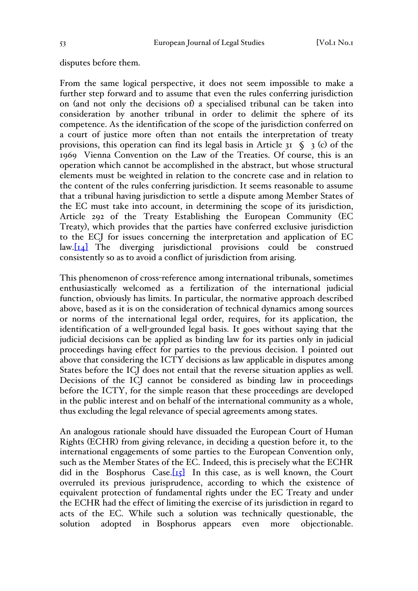### disputes before them.

From the same logical perspective, it does not seem impossible to make a further step forward and to assume that even the rules conferring jurisdiction on (and not only the decisions of) a specialised tribunal can be taken into consideration by another tribunal in order to delimit the sphere of its competence. As the identification of the scope of the jurisdiction conferred on a court of justice more often than not entails the interpretation of treaty provisions, this operation can find its legal basis in Article 31  $\Diamond$  3 (c) of the 1969 Vienna Convention on the Law of the Treaties. Of course, this is an operation which cannot be accomplished in the abstract, but whose structural elements must be weighted in relation to the concrete case and in relation to the content of the rules conferring jurisdiction. It seems reasonable to assume that a tribunal having jurisdiction to settle a dispute among Member States of the EC must take into account, in determining the scope of its jurisdiction, Article 292 of the Treaty Establishing the European Community (EC Treaty), which provides that the parties have conferred exclusive jurisdiction to the ECJ for issues concerning the interpretation and application of EC law.[14] The diverging jurisdictional provisions could be construed consistently so as to avoid a conflict of jurisdiction from arising.

This phenomenon of cross-reference among international tribunals, sometimes enthusiastically welcomed as a fertilization of the international judicial function, obviously has limits. In particular, the normative approach described above, based as it is on the consideration of technical dynamics among sources or norms of the international legal order, requires, for its application, the identification of a well-grounded legal basis. It goes without saying that the judicial decisions can be applied as binding law for its parties only in judicial proceedings having effect for parties to the previous decision. I pointed out above that considering the ICTY decisions as law applicable in disputes among States before the ICJ does not entail that the reverse situation applies as well. Decisions of the ICJ cannot be considered as binding law in proceedings before the ICTY, for the simple reason that these proceedings are developed in the public interest and on behalf of the international community as a whole, thus excluding the legal relevance of special agreements among states.

An analogous rationale should have dissuaded the European Court of Human Rights (ECHR) from giving relevance, in deciding a question before it, to the international engagements of some parties to the European Convention only, such as the Member States of the EC. Indeed, this is precisely what the ECHR did in the Bosphorus Case. $[15]$  In this case, as is well known, the Court overruled its previous jurisprudence, according to which the existence of equivalent protection of fundamental rights under the EC Treaty and under the ECHR had the effect of limiting the exercise of its jurisdiction in regard to acts of the EC. While such a solution was technically questionable, the solution adopted in Bosphorus appears even more objectionable.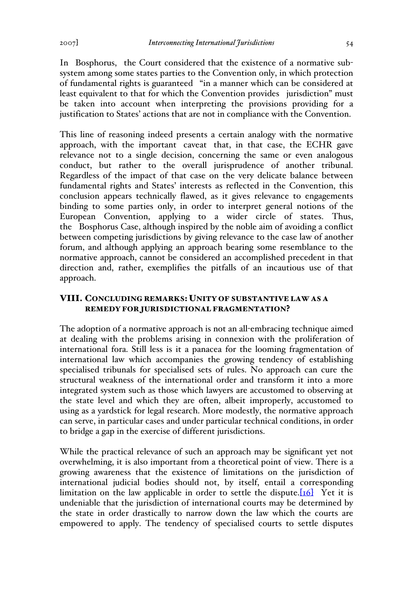In Bosphorus, the Court considered that the existence of a normative subsystem among some states parties to the Convention only, in which protection of fundamental rights is guaranteed "in a manner which can be considered at least equivalent to that for which the Convention provides jurisdiction" must be taken into account when interpreting the provisions providing for a justification to States' actions that are not in compliance with the Convention.

This line of reasoning indeed presents a certain analogy with the normative approach, with the important caveat that, in that case, the ECHR gave relevance not to a single decision, concerning the same or even analogous conduct, but rather to the overall jurisprudence of another tribunal. Regardless of the impact of that case on the very delicate balance between fundamental rights and States' interests as reflected in the Convention, this conclusion appears technically flawed, as it gives relevance to engagements binding to some parties only, in order to interpret general notions of the European Convention, applying to a wider circle of states. Thus, the Bosphorus Case, although inspired by the noble aim of avoiding a conflict between competing jurisdictions by giving relevance to the case law of another forum, and although applying an approach bearing some resemblance to the normative approach, cannot be considered an accomplished precedent in that direction and, rather, exemplifies the pitfalls of an incautious use of that approach.

# VIII. CONCLUDING REMARKS: UNITY OF SUBSTANTIVE LAW AS A REMEDY FOR JURISDICTIONAL FRAGMENTATION?

The adoption of a normative approach is not an all-embracing technique aimed at dealing with the problems arising in connexion with the proliferation of international fora. Still less is it a panacea for the looming fragmentation of international law which accompanies the growing tendency of establishing specialised tribunals for specialised sets of rules. No approach can cure the structural weakness of the international order and transform it into a more integrated system such as those which lawyers are accustomed to observing at the state level and which they are often, albeit improperly, accustomed to using as a yardstick for legal research. More modestly, the normative approach can serve, in particular cases and under particular technical conditions, in order to bridge a gap in the exercise of different jurisdictions.

While the practical relevance of such an approach may be significant yet not overwhelming, it is also important from a theoretical point of view. There is a growing awareness that the existence of limitations on the jurisdiction of international judicial bodies should not, by itself, entail a corresponding limitation on the law applicable in order to settle the dispute. $[16]$  Yet it is undeniable that the jurisdiction of international courts may be determined by the state in order drastically to narrow down the law which the courts are empowered to apply. The tendency of specialised courts to settle disputes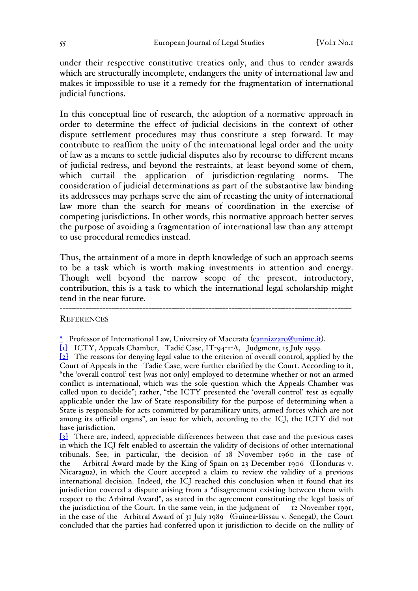under their respective constitutive treaties only, and thus to render awards which are structurally incomplete, endangers the unity of international law and makes it impossible to use it a remedy for the fragmentation of international judicial functions.

In this conceptual line of research, the adoption of a normative approach in order to determine the effect of judicial decisions in the context of other dispute settlement procedures may thus constitute a step forward. It may contribute to reaffirm the unity of the international legal order and the unity of law as a means to settle judicial disputes also by recourse to different means of judicial redress, and beyond the restraints, at least beyond some of them, which curtail the application of jurisdiction-regulating norms. The consideration of judicial determinations as part of the substantive law binding its addressees may perhaps serve the aim of recasting the unity of international law more than the search for means of coordination in the exercise of competing jurisdictions. In other words, this normative approach better serves the purpose of avoiding a fragmentation of international law than any attempt to use procedural remedies instead.

Thus, the attainment of a more in-depth knowledge of such an approach seems to be a task which is worth making investments in attention and energy. Though well beyond the narrow scope of the present, introductory, contribution, this is a task to which the international legal scholarship might tend in the near future.

------------------------------------------------------------------------------------------------------

### **REFERENCES**

[2] The reasons for denying legal value to the criterion of overall control, applied by the Court of Appeals in the Tadic Case, were further clarified by the Court. According to it, "the 'overall control' test [was not only] employed to determine whether or not an armed conflict is international, which was the sole question which the Appeals Chamber was called upon to decide"; rather, "the ICTY presented the 'overall control' test as equally applicable under the law of State responsibility for the purpose of determining when a State is responsible for acts committed by paramilitary units, armed forces which are not among its official organs", an issue for which, according to the ICJ, the ICTY did not have jurisdiction.

[3] There are, indeed, appreciable differences between that case and the previous cases in which the ICJ felt enabled to ascertain the validity of decisions of other international tribunals. See, in particular, the decision of 18 November 1960 in the case of the Arbitral Award made by the King of Spain on 23 December 1906 (Honduras v. Nicaragua), in which the Court accepted a claim to review the validity of a previous international decision. Indeed, the ICJ reached this conclusion when it found that its jurisdiction covered a dispute arising from a "disagreement existing between them with respect to the Arbitral Award", as stated in the agreement constituting the legal basis of the jurisdiction of the Court. In the same vein, in the judgment of 12 November 1991, in the case of the Arbitral Award of 31 July 1989 (Guinea-Bissau v. Senegal), the Court concluded that the parties had conferred upon it jurisdiction to decide on the nullity of

<sup>\*</sup> Professor of International Law, University of Macerata (cannizzaro@unimc.it).

<sup>[</sup>1] ICTY, Appeals Chamber, Tadić Case, IT-94-1-A, Judgment, 15 July 1999.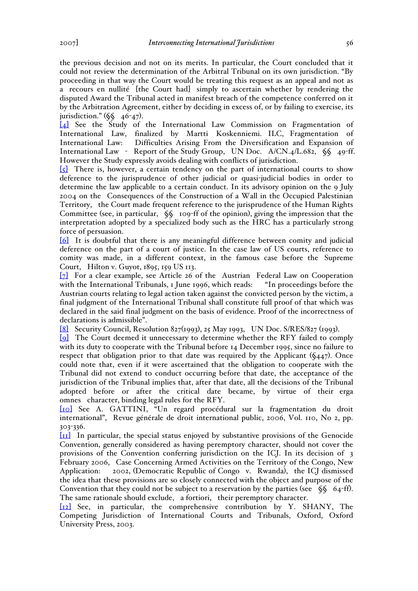the previous decision and not on its merits. In particular, the Court concluded that it could not review the determination of the Arbitral Tribunal on its own jurisdiction. "By proceeding in that way the Court would be treating this request as an appeal and not as a recours en nullité [the Court had] simply to ascertain whether by rendering the disputed Award the Tribunal acted in manifest breach of the competence conferred on it by the Arbitration Agreement, either by deciding in excess of, or by failing to exercise, its jurisdiction."  $(\xi \xi \quad 46-47)$ .

[4] See the Study of the International Law Commission on Fragmentation of International Law, finalized by Martti Koskenniemi. ILC, Fragmentation of International Law: Difficulties Arising From the Diversification and Expansion of International Law - Report of the Study Group, UN Doc. A/CN.4/L.682, §§ 49-ff. However the Study expressly avoids dealing with conflicts of jurisdiction.

 $\overline{\{s\}}$  There is, however, a certain tendency on the part of international courts to show deference to the jurisprudence of other judicial or quasi-judicial bodies in order to determine the law applicable to a certain conduct. In its advisory opinion on the 9 July 2004 on the Consequences of the Construction of a Wall in the Occupied Palestinian Territory, the Court made frequent reference to the jurisprudence of the Human Rights Committee (see, in particular, §§ 109-ff of the opinion), giving the impression that the interpretation adopted by a specialized body such as the HRC has a particularly strong force of persuasion.

[6] It is doubtful that there is any meaningful difference between comity and judicial deference on the part of a court of justice. In the case law of US courts, reference to comity was made, in a different context, in the famous case before the Supreme Court, Hilton v. Guyot, 1895, 159 US 113.

[7] For a clear example, see Article 26 of the Austrian Federal Law on Cooperation with the International Tribunals, 1 June 1996, which reads: "In proceedings before the Austrian courts relating to legal action taken against the convicted person by the victim, a final judgment of the International Tribunal shall constitute full proof of that which was declared in the said final judgment on the basis of evidence. Proof of the incorrectness of declarations is admissible".

[8] Security Council, Resolution 827(1993), 25 May 1993, UN Doc. S/RES/827 (1993).

[9] The Court deemed it unnecessary to determine whether the RFY failed to comply with its duty to cooperate with the Tribunal before 14 December 1995, since no failure to respect that obligation prior to that date was required by the Applicant  $(\zeta_{447})$ . Once could note that, even if it were ascertained that the obligation to cooperate with the Tribunal did not extend to conduct occurring before that date, the acceptance of the jurisdiction of the Tribunal implies that, after that date, all the decisions of the Tribunal adopted before or after the critical date became, by virtue of their erga omnes character, binding legal rules for the RFY.

[10] See A. GATTINI, "Un regard procédural sur la fragmentation du droit international", Revue générale de droit international public, 2006, Vol. 110, No 2, pp. 303-336.

[11] In particular, the special status enjoyed by substantive provisions of the Genocide Convention, generally considered as having peremptory character, should not cover the provisions of the Convention conferring jurisdiction on the ICJ. In its decision of 3 February 2006, Case Concerning Armed Activities on the Territory of the Congo, New Application: 2002, (Democratic Republic of Congo v. Rwanda), the ICJ dismissed the idea that these provisions are so closely connected with the object and purpose of the Convention that they could not be subject to a reservation by the parties (see  $\sqrt{\$}$  64-ff). The same rationale should exclude, a fortiori, their peremptory character.

[12] See, in particular, the comprehensive contribution by Y. SHANY, The Competing Jurisdiction of International Courts and Tribunals, Oxford, Oxford University Press, 2003.